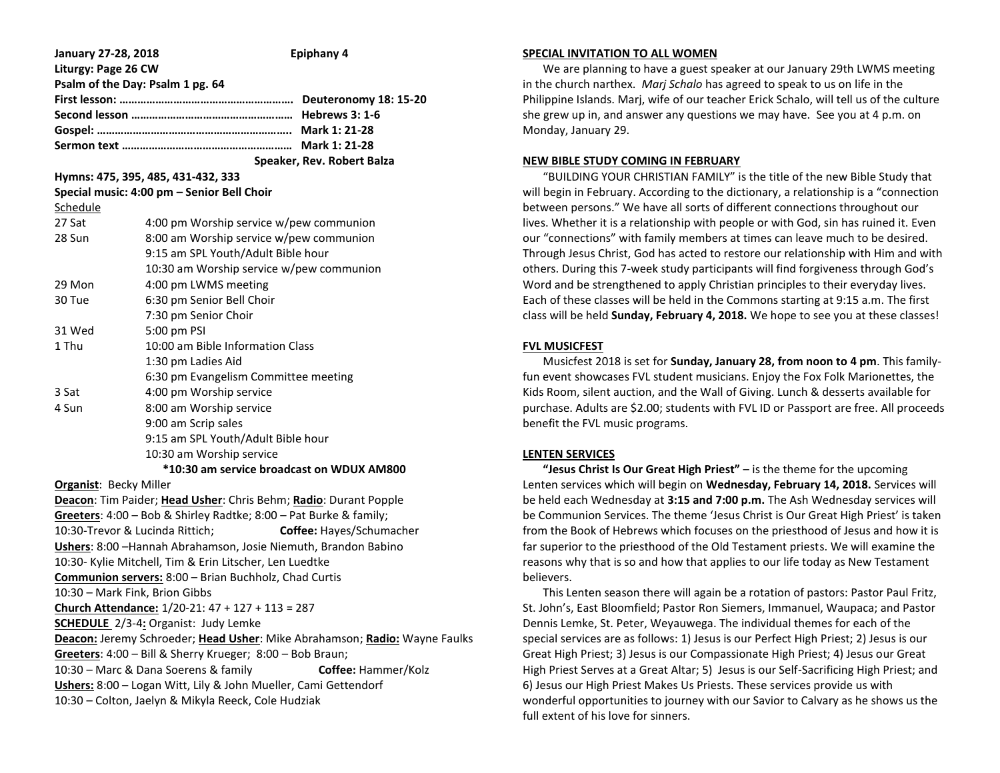| January 27-28, 2018           | Epiphany 4                                                                 |  |  |
|-------------------------------|----------------------------------------------------------------------------|--|--|
| Liturgy: Page 26 CW           | Psalm of the Day: Psalm 1 pg. 64                                           |  |  |
|                               |                                                                            |  |  |
|                               | Speaker, Rev. Robert Balza                                                 |  |  |
|                               | Hymns: 475, 395, 485, 431-432, 333                                         |  |  |
| Schedule                      | Special music: 4:00 pm - Senior Bell Choir                                 |  |  |
| 27 Sat                        | 4:00 pm Worship service w/pew communion                                    |  |  |
| 28 Sun                        | 8:00 am Worship service w/pew communion                                    |  |  |
|                               | 9:15 am SPL Youth/Adult Bible hour                                         |  |  |
|                               | 10:30 am Worship service w/pew communion                                   |  |  |
| 29 Mon                        | 4:00 pm LWMS meeting                                                       |  |  |
| 30 Tue                        | 6:30 pm Senior Bell Choir                                                  |  |  |
|                               | 7:30 pm Senior Choir                                                       |  |  |
| 31 Wed                        | 5:00 pm PSI                                                                |  |  |
| 1 Thu                         | 10:00 am Bible Information Class                                           |  |  |
|                               | 1:30 pm Ladies Aid                                                         |  |  |
|                               | 6:30 pm Evangelism Committee meeting                                       |  |  |
| 3 Sat                         | 4:00 pm Worship service                                                    |  |  |
| 4 Sun                         | 8:00 am Worship service                                                    |  |  |
|                               | 9:00 am Scrip sales                                                        |  |  |
|                               | 9:15 am SPL Youth/Adult Bible hour                                         |  |  |
|                               | 10:30 am Worship service                                                   |  |  |
|                               | *10:30 am service broadcast on WDUX AM800                                  |  |  |
| <b>Organist: Becky Miller</b> |                                                                            |  |  |
|                               | Deacon: Tim Paider; Head Usher: Chris Behm; Radio: Durant Popple           |  |  |
|                               | Greeters: 4:00 - Bob & Shirley Radtke; 8:00 - Pat Burke & family;          |  |  |
|                               | 10:30-Trevor & Lucinda Rittich;<br>Coffee: Hayes/Schumacher                |  |  |
|                               | Ushers: 8:00 - Hannah Abrahamson, Josie Niemuth, Brandon Babino            |  |  |
|                               | 10:30- Kylie Mitchell, Tim & Erin Litscher, Len Luedtke                    |  |  |
|                               | Communion servers: 8:00 - Brian Buchholz, Chad Curtis                      |  |  |
|                               | 10:30 - Mark Fink, Brion Gibbs                                             |  |  |
|                               | Church Attendance: 1/20-21: 47 + 127 + 113 = 287                           |  |  |
|                               | <b>SCHEDULE</b> 2/3-4: Organist: Judy Lemke                                |  |  |
|                               | Deacon: Jeremy Schroeder; Head Usher: Mike Abrahamson; Radio: Wayne Faulks |  |  |
|                               | Greeters: 4:00 - Bill & Sherry Krueger; 8:00 - Bob Braun;                  |  |  |
|                               | 10:30 - Marc & Dana Soerens & family<br>Coffee: Hammer/Kolz                |  |  |
|                               | Ushers: 8:00 - Logan Witt, Lily & John Mueller, Cami Gettendorf            |  |  |
|                               | 10:30 - Colton, Jaelyn & Mikyla Reeck, Cole Hudziak                        |  |  |
|                               |                                                                            |  |  |

#### **SPECIAL INVITATION TO ALL WOMEN**

 We are planning to have a guest speaker at our January 29th LWMS meeting in the church narthex. *Marj Schalo* has agreed to speak to us on life in the Philippine Islands. Marj, wife of our teacher Erick Schalo, will tell us of the culture she grew up in, and answer any questions we may have. See you at 4 p.m. on Monday, January 29.

#### **NEW BIBLE STUDY COMING IN FEBRUARY**

 "BUILDING YOUR CHRISTIAN FAMILY" is the title of the new Bible Study that will begin in February. According to the dictionary, a relationship is a "connection between persons." We have all sorts of different connections throughout our lives. Whether it is a relationship with people or with God, sin has ruined it. Even our "connections" with family members at times can leave much to be desired. Through Jesus Christ, God has acted to restore our relationship with Him and with others. During this 7-week study participants will find forgiveness through God's Word and be strengthened to apply Christian principles to their everyday lives. Each of these classes will be held in the Commons starting at 9:15 a.m. The first class will be held **Sunday, February 4, 2018.** We hope to see you at these classes!

#### **FVL MUSICFEST**

 Musicfest 2018 is set for **Sunday, January 28, from noon to 4 pm**. This familyfun event showcases FVL student musicians. Enjoy the Fox Folk Marionettes, the Kids Room, silent auction, and the Wall of Giving. Lunch & desserts available for purchase. Adults are \$2.00; students with FVL ID or Passport are free. All proceeds benefit the FVL music programs.

## **LENTEN SERVICES**

 **"Jesus Christ Is Our Great High Priest"** – is the theme for the upcoming Lenten services which will begin on **Wednesday, February 14, 2018.** Services will be held each Wednesday at **3:15 and 7:00 p.m.** The Ash Wednesday services will be Communion Services. The theme 'Jesus Christ is Our Great High Priest' is taken from the Book of Hebrews which focuses on the priesthood of Jesus and how it is far superior to the priesthood of the Old Testament priests. We will examine the reasons why that is so and how that applies to our life today as New Testament believers.

 This Lenten season there will again be a rotation of pastors: Pastor Paul Fritz, St. John's, East Bloomfield; Pastor Ron Siemers, Immanuel, Waupaca; and Pastor Dennis Lemke, St. Peter, Weyauwega. The individual themes for each of the special services are as follows: 1) Jesus is our Perfect High Priest; 2) Jesus is our Great High Priest; 3) Jesus is our Compassionate High Priest; 4) Jesus our Great High Priest Serves at a Great Altar; 5) Jesus is our Self-Sacrificing High Priest; and 6) Jesus our High Priest Makes Us Priests. These services provide us with wonderful opportunities to journey with our Savior to Calvary as he shows us the full extent of his love for sinners.